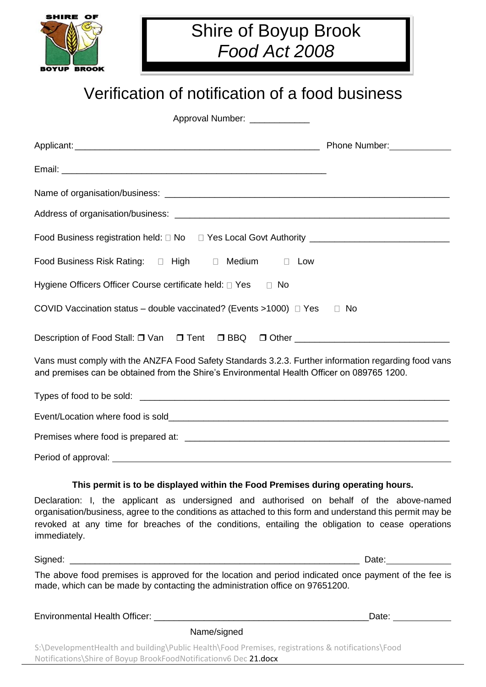

## Shire of Boyup Brook *Food Act 2008*

# Verification of notification of a food business

Approval Number: \_\_\_\_\_\_\_\_\_\_

|                                                                                                                                                                                                                                      | Phone Number: 2008 |
|--------------------------------------------------------------------------------------------------------------------------------------------------------------------------------------------------------------------------------------|--------------------|
|                                                                                                                                                                                                                                      |                    |
|                                                                                                                                                                                                                                      |                    |
|                                                                                                                                                                                                                                      |                    |
|                                                                                                                                                                                                                                      |                    |
| Food Business Risk Rating: $\Box$ High $\Box$ Medium $\Box$ Low                                                                                                                                                                      |                    |
| Hygiene Officers Officer Course certificate held: □ Yes □ No                                                                                                                                                                         |                    |
| COVID Vaccination status – double vaccinated? (Events >1000) $\Box$ Yes $\Box$ No                                                                                                                                                    |                    |
| Description of Food Stall: □ Van □ Tent □ BBQ □ Other __________________________                                                                                                                                                     |                    |
| Vans must comply with the ANZFA Food Safety Standards 3.2.3. Further information regarding food vans<br>and premises can be obtained from the Shire's Environmental Health Officer on 089765 1200.                                   |                    |
|                                                                                                                                                                                                                                      |                    |
|                                                                                                                                                                                                                                      |                    |
|                                                                                                                                                                                                                                      |                    |
| Period of approval: <u>example and a series of the series of the series of the series of the series of the series of the series of the series of the series of the series of the series of the series of the series of the serie</u> |                    |

#### **This permit is to be displayed within the Food Premises during operating hours.**

Declaration: I, the applicant as undersigned and authorised on behalf of the above-named organisation/business, agree to the conditions as attached to this form and understand this permit may be revoked at any time for breaches of the conditions, entailing the obligation to cease operations immediately.

Signed: \_\_\_\_\_\_\_\_\_\_\_\_\_\_\_\_\_\_\_\_\_\_\_\_\_\_\_\_\_\_\_\_\_\_\_\_\_\_\_\_\_\_\_\_\_\_\_\_\_\_\_\_\_\_\_\_\_\_ Date:

The above food premises is approved for the location and period indicated once payment of the fee is made, which can be made by contacting the administration office on 97651200.

Environmental Health Officer: \_\_\_\_\_\_\_\_\_\_\_\_\_\_\_\_\_\_\_\_\_\_\_\_\_\_\_\_\_\_\_\_\_\_\_\_\_\_\_\_\_\_\_Date:

Name/signed

S:\DevelopmentHealth and building\Public Health\Food Premises, registrations & notifications\Food Notifications\Shire of Boyup BrookFoodNotificationv6 Dec 21.docx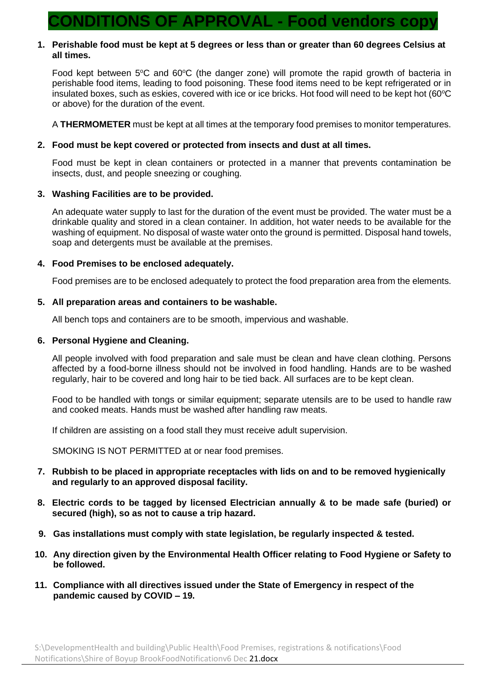### **CONDITIONS OF APPROVAL - Food vendors copy**

#### **1. Perishable food must be kept at 5 degrees or less than or greater than 60 degrees Celsius at all times.**

Food kept between  $5^{\circ}$ C and  $60^{\circ}$ C (the danger zone) will promote the rapid growth of bacteria in perishable food items, leading to food poisoning. These food items need to be kept refrigerated or in insulated boxes, such as eskies, covered with ice or ice bricks. Hot food will need to be kept hot (60°C or above) for the duration of the event.

A **THERMOMETER** must be kept at all times at the temporary food premises to monitor temperatures.

#### **2. Food must be kept covered or protected from insects and dust at all times.**

Food must be kept in clean containers or protected in a manner that prevents contamination be insects, dust, and people sneezing or coughing.

#### **3. Washing Facilities are to be provided.**

An adequate water supply to last for the duration of the event must be provided. The water must be a drinkable quality and stored in a clean container. In addition, hot water needs to be available for the washing of equipment. No disposal of waste water onto the ground is permitted. Disposal hand towels, soap and detergents must be available at the premises.

#### **4. Food Premises to be enclosed adequately.**

Food premises are to be enclosed adequately to protect the food preparation area from the elements.

#### **5. All preparation areas and containers to be washable.**

All bench tops and containers are to be smooth, impervious and washable.

#### **6. Personal Hygiene and Cleaning.**

All people involved with food preparation and sale must be clean and have clean clothing. Persons affected by a food-borne illness should not be involved in food handling. Hands are to be washed regularly, hair to be covered and long hair to be tied back. All surfaces are to be kept clean.

Food to be handled with tongs or similar equipment; separate utensils are to be used to handle raw and cooked meats. Hands must be washed after handling raw meats.

If children are assisting on a food stall they must receive adult supervision.

SMOKING IS NOT PERMITTED at or near food premises.

- **7. Rubbish to be placed in appropriate receptacles with lids on and to be removed hygienically and regularly to an approved disposal facility.**
- **8. Electric cords to be tagged by licensed Electrician annually & to be made safe (buried) or secured (high), so as not to cause a trip hazard.**
- **9. Gas installations must comply with state legislation, be regularly inspected & tested.**
- **10. Any direction given by the Environmental Health Officer relating to Food Hygiene or Safety to be followed.**
- **11. Compliance with all directives issued under the State of Emergency in respect of the pandemic caused by COVID – 19.**